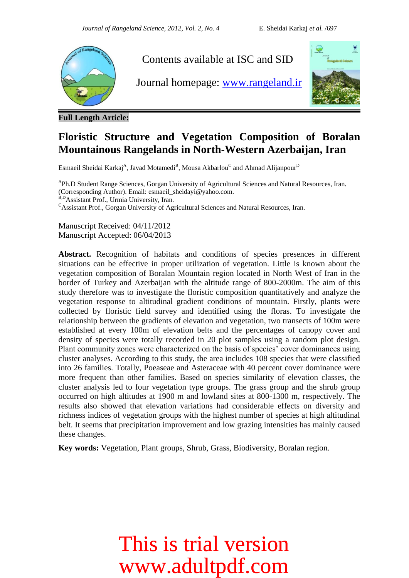

**Full Length Article:**

### **Floristic Structure and Vegetation Composition of Boralan Mountainous Rangelands in North-Western Azerbaijan, Iran**

Esmaeil Sheidai Karkaj<sup>A</sup>, Javad Motamedi<sup>B</sup>, Mousa Akbarlou<sup>C</sup> and Ahmad Alijanpour<sup>D</sup>

<sup>A</sup>Ph.D Student Range Sciences, Gorgan University of Agricultural Sciences and Natural Resources, Iran. (Corresponding Author). Email: esmaeil\_sheidayi@yahoo.com. B,D Assistant Prof., Urmia University, Iran.

 $\text{c}_{\text{Assistant Prof.}}$  Gorgan University of Agricultural Sciences and Natural Resources, Iran.

Manuscript Received: 04/11/2012 Manuscript Accepted: 06/04/2013

**Abstract.** Recognition of habitats and conditions of species presences in different situations can be effective in proper utilization of vegetation. Little is known about the vegetation composition of Boralan Mountain region located in North West of Iran in the border of Turkey and Azerbaijan with the altitude range of 800-2000m. The aim of this study therefore was to investigate the floristic composition quantitatively and analyze the vegetation response to altitudinal gradient conditions of mountain. Firstly, plants were collected by floristic field survey and identified using the floras. To investigate the relationship between the gradients of elevation and vegetation, two transects of 100m were established at every 100m of elevation belts and the percentages of canopy cover and density of species were totally recorded in 20 plot samples using a random plot design. Plant community zones were characterized on the basis of species' cover dominances using cluster analyses. According to this study, the area includes 108 species that were classified into 26 families. Totally, Poeaseae and Asteraceae with 40 percent cover dominance were more frequent than other families. Based on species similarity of elevation classes, the cluster analysis led to four vegetation type groups. The grass group and the shrub group occurred on high altitudes at 1900 m and lowland sites at 800-1300 m, respectively. The results also showed that elevation variations had considerable effects on diversity and richness indices of vegetation groups with the highest number of species at high altitudinal belt. It seems that precipitation improvement and low grazing intensities has mainly caused these changes.

**Key words:** Vegetation, Plant groups, Shrub, Grass, Biodiversity, Boralan region.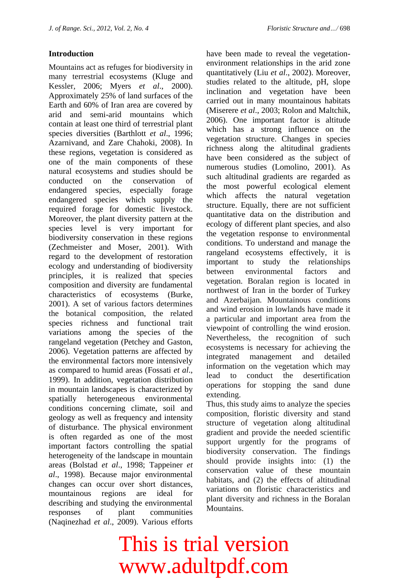### **Introduction**

Mountains act as refuges for biodiversity in many terrestrial ecosystems (Kluge and Kessler, 2006; Myers *et al*., 2000). Approximately 25% of land surfaces of the Earth and 60% of Iran area are covered by arid and semi-arid mountains which contain at least one third of terrestrial plant species diversities (Barthlott *et al*., 1996; Azarnivand, and Zare Chahoki, 2008). In these regions, vegetation is considered as one of the main components of these natural ecosystems and studies should be conducted on the conservation of endangered species, especially forage endangered species which supply the required forage for domestic livestock. Moreover, the plant diversity pattern at the species level is very important for biodiversity conservation in these regions (Zechmeister and Moser, 2001). With regard to the development of restoration ecology and understanding of biodiversity principles, it is realized that species composition and diversity are fundamental characteristics of ecosystems (Burke, 2001). A set of various factors determines the botanical composition, the related species richness and functional trait variations among the species of the rangeland vegetation (Petchey and Gaston, 2006). Vegetation patterns are affected by the environmental factors more intensively as compared to humid areas (Fossati *et al*., 1999). In addition, vegetation distribution in mountain landscapes is characterized by spatially heterogeneous environmental conditions concerning climate, soil and geology as well as frequency and intensity of disturbance. The physical environment is often regarded as one of the most important factors controlling the spatial heterogeneity of the landscape in mountain areas (Bolstad *et al*., 1998; Tappeiner *et al*., 1998). Because major environmental changes can occur over short distances, mountainous regions are ideal for describing and studying the environmental responses of plant communities (Naqinezhad *et al*., 2009). Various efforts

have been made to reveal the vegetationenvironment relationships in the arid zone quantitatively (Liu *et al*., 2002). Moreover, studies related to the altitude, pH, slope inclination and vegetation have been carried out in many mountainous habitats (Miserere *et al*., 2003; Rolon and Maltchik, 2006). One important factor is altitude which has a strong influence on the vegetation structure. Changes in species richness along the altitudinal gradients have been considered as the subject of numerous studies (Lomolino, 2001). As such altitudinal gradients are regarded as the most powerful ecological element which affects the natural vegetation structure. Equally, there are not sufficient quantitative data on the distribution and ecology of different plant species, and also the vegetation response to environmental conditions. To understand and manage the rangeland ecosystems effectively, it is important to study the relationships between environmental factors and vegetation. Boralan region is located in northwest of Iran in the border of Turkey and Azerbaijan. Mountainous conditions and wind erosion in lowlands have made it a particular and important area from the viewpoint of controlling the wind erosion. Nevertheless, the recognition of such ecosystems is necessary for achieving the integrated management and detailed information on the vegetation which may lead to conduct the desertification operations for stopping the sand dune extending.

Thus, this study aims to analyze the species composition, floristic diversity and stand structure of vegetation along altitudinal gradient and provide the needed scientific support urgently for the programs of biodiversity conservation. The findings should provide insights into: (1) the conservation value of these mountain habitats, and (2) the effects of altitudinal variations on floristic characteristics and plant diversity and richness in the Boralan Mountains.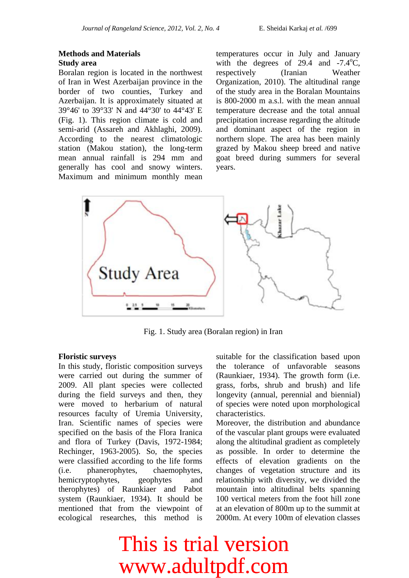### **Methods and Materials Study area**

Boralan region is located in the northwest of Iran in West Azerbaijan province in the border of two counties, Turkey and Azerbaijan. It is approximately situated at 39°46' to 39°33' N and 44°30' to 44°43' E (Fig. 1). This region climate is cold and semi-arid (Assareh and Akhlaghi, 2009). According to the nearest climatologic station (Makou station), the long-term mean annual rainfall is 294 mm and generally has cool and snowy winters. Maximum and minimum monthly mean temperatures occur in July and January with the degrees of 29.4 and  $-7.4^{\circ}$ C, respectively (Iranian Weather Organization, 2010). The altitudinal range of the study area in the Boralan Mountains is 800-2000 m a.s.l. with the mean annual temperature decrease and the total annual precipitation increase regarding the altitude and dominant aspect of the region in northern slope. The area has been mainly grazed by Makou sheep breed and native goat breed during summers for several years.



Fig. 1. Study area (Boralan region) in Iran

### **Floristic surveys**

In this study, floristic composition surveys were carried out during the summer of 2009. All plant species were collected during the field surveys and then, they were moved to herbarium of natural resources faculty of Uremia University, Iran. Scientific names of species were specified on the basis of the Flora Iranica and flora of Turkey (Davis, 1972-1984; Rechinger, 1963-2005). So, the species were classified according to the life forms (i.e. phanerophytes, chaemophytes, hemicryptophytes, geophytes and therophytes) of Raunkiaer and Pabot system (Raunkiaer, 1934). It should be mentioned that from the viewpoint of ecological researches, this method is

suitable for the classification based upon the tolerance of unfavorable seasons (Raunkiaer, 1934). The growth form (i.e. grass, forbs, shrub and brush) and life longevity (annual, perennial and biennial) of species were noted upon morphological characteristics.

Moreover, the distribution and abundance of the vascular plant groups were evaluated along the altitudinal gradient as completely as possible. In order to determine the effects of elevation gradients on the changes of vegetation structure and its relationship with diversity, we divided the mountain into altitudinal belts spanning 100 vertical meters from the foot hill zone at an elevation of 800m up to the summit at 2000m. At every 100m of elevation classes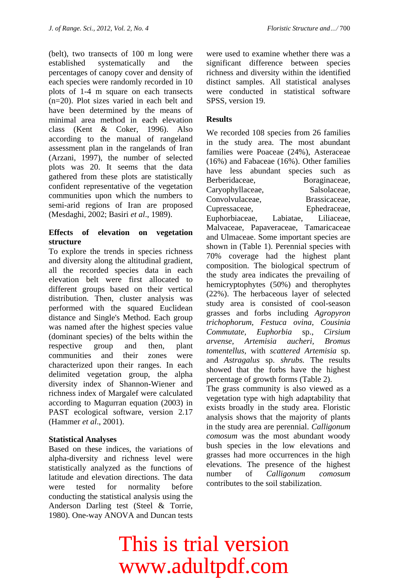(belt), two transects of 100 m long were established systematically and the percentages of canopy cover and density of each species were randomly recorded in 10 plots of 1-4 m square on each transects (n=20). Plot sizes varied in each belt and have been determined by the means of minimal area method in each elevation class (Kent & Coker, 1996). Also according to the manual of rangeland assessment plan in the rangelands of Iran (Arzani, 1997), the number of selected plots was 20. It seems that the data gathered from these plots are statistically confident representative of the vegetation communities upon which the numbers to semi-arid regions of Iran are proposed (Mesdaghi, 2002; Basiri *et al*., 1989).

### **Effects of elevation on vegetation structure**

To explore the trends in species richness and diversity along the altitudinal gradient, all the recorded species data in each elevation belt were first allocated to different groups based on their vertical distribution. Then, cluster analysis was performed with the squared Euclidean distance and Single's Method. Each group was named after the highest species value (dominant species) of the belts within the respective group and then, plant communities and their zones were characterized upon their ranges. In each delimited vegetation group, the alpha diversity index of Shannon-Wiener and richness index of Margalef were calculated according to Magurran equation (2003) in PAST ecological software, version 2.17 (Hammer *et al*., 2001).

### **Statistical Analyses**

Based on these indices, the variations of alpha-diversity and richness level were statistically analyzed as the functions of latitude and elevation directions. The data were tested for normality before conducting the statistical analysis using the Anderson Darling test (Steel & Torrie, 1980). One-way ANOVA and Duncan tests

were used to examine whether there was a significant difference between species richness and diversity within the identified distinct samples. All statistical analyses were conducted in statistical software SPSS, version 19.

### **Results**

We recorded 108 species from 26 families in the study area. The most abundant families were Poaceae (24%), Asteraceae (16%) and Fabaceae (16%). Other families have less abundant species such as Berberidaceae, Boraginaceae, Caryophyllaceae, Salsolaceae, Convolvulaceae, Brassicaceae, Cupressaceae, Ephedraceae, Euphorbiaceae, Labiatae, Liliaceae, Malvaceae, Papaveraceae, Tamaricaceae and Ulmaceae. Some important species are shown in (Table 1). Perennial species with 70% coverage had the highest plant composition. The biological spectrum of the study area indicates the prevailing of hemicryptophytes (50%) and therophytes (22%). The herbaceous layer of selected study area is consisted of cool-season grasses and forbs including *Agropyron trichophorum, Festuca ovina, Cousinia Commutate, Euphorbia* sp., *Cirsium arvense, Artemisia aucheri, Bromus tomentellus,* with *scattered Artemisia* sp. and *Astragalus* sp. *shrubs.* The results showed that the forbs have the highest percentage of growth forms (Table 2).

The grass community is also viewed as a vegetation type with high adaptability that exists broadly in the study area. Floristic analysis shows that the majority of plants in the study area are perennial. *Calligonum comosum* was the most abundant woody bush species in the low elevations and grasses had more occurrences in the high elevations. The presence of the highest number of *Calligonum comosum* contributes to the soil stabilization.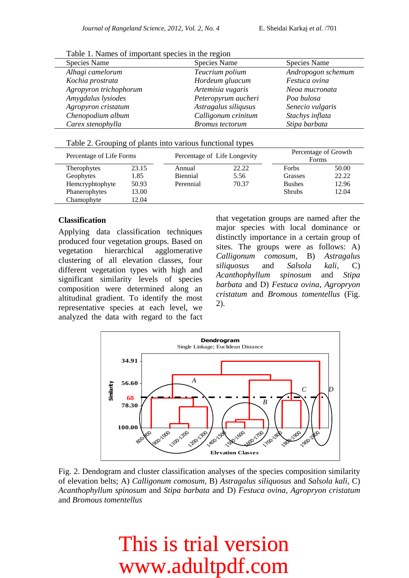| Table 1. Ivality of important species in the region |                        |                     |  |  |  |
|-----------------------------------------------------|------------------------|---------------------|--|--|--|
| Species Name                                        | Species Name           | <b>Species Name</b> |  |  |  |
| Alhagi camelorum                                    | Teucrium polium        | Andropogon schemum  |  |  |  |
| Kochia prostrata                                    | Hordeum gluacum        | Festuca ovina       |  |  |  |
| Agropyron trichophorum                              | Artemisia vugaris      | Neoa mucronata      |  |  |  |
| Amygdalus lysiodes                                  | Peteropyrum aucheri    | Poa bulosa          |  |  |  |
| Agropyron cristatum                                 | Astragalus siliqusus   | Senecio vulgaris    |  |  |  |
| Chenopodium album                                   | Calligonum crinitum    | Stachys inflata     |  |  |  |
| Carex stenophylla                                   | <b>Bromus</b> tectorum | Stipa barbata       |  |  |  |
|                                                     |                        |                     |  |  |  |

Table 1. Names of important species in the region

|  |  | Table 2. Grouping of plants into various functional types |  |
|--|--|-----------------------------------------------------------|--|
|  |  |                                                           |  |

|                    | Percentage of Life Forms |                 | Percentage of Life Longevity |               | Percentage of Growth<br>Forms |  |
|--------------------|--------------------------|-----------------|------------------------------|---------------|-------------------------------|--|
| <b>Therophytes</b> | 23.15                    | Annual          | 22.22                        | <b>Forbs</b>  | 50.00                         |  |
| Geophytes          | 1.85                     | <b>Biennial</b> | 5.56                         | Grasses       | 22.22                         |  |
| Hemcryphtophyte    | 50.93                    | Perennial       | 70.37                        | <b>Bushes</b> | 12.96                         |  |
| Phanerophytes      | 13.00                    |                 |                              | <b>Shrubs</b> | 12.04                         |  |
| Chamophyte         | 12.04                    |                 |                              |               |                               |  |

### **Classification**

Applying data classification techniques produced four vegetation groups. Based on vegetation hierarchical agglomerative clustering of all elevation classes, four different vegetation types with high and significant similarity levels of species composition were determined along an altitudinal gradient. To identify the most representative species at each level, we analyzed the data with regard to the fact that vegetation groups are named after the major species with local dominance or distinctly importance in a certain group of sites. The groups were as follows: A) *Calligonum comosum*, B) *Astragalus siliquosus* and *Salsola kali*, C) *Acanthophyllum spinosum* and *Stipa barbata* and D) *Festuca ovina*, *Agropryon cristatum* and *Bromous tomentellus* (Fig. 2).



Fig. 2. Dendogram and cluster classification analyses of the species composition similarity of elevation belts; A) *Calligonum comosum*, B) *Astragalus siliquosus* and *Salsola kali*, C) *Acanthophyllum spinosum* and *Stipa barbata* and D) *Festuca ovina*, *Agropryon cristatum* and *Bromous tomentellus*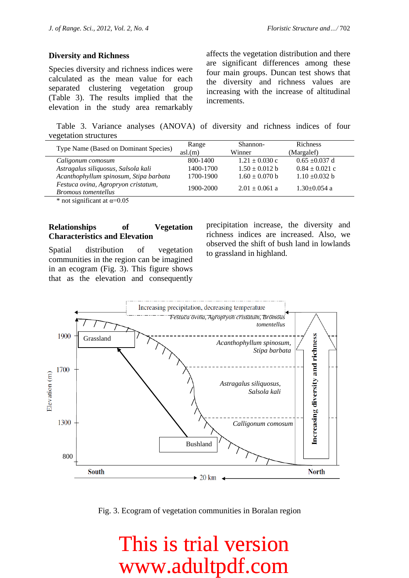#### **Diversity and Richness**

Species diversity and richness indices were calculated as the mean value for each separated clustering vegetation group (Table 3). The results implied that the elevation in the study area remarkably

affects the vegetation distribution and there are significant differences among these four main groups. Duncan test shows that the diversity and richness values are increasing with the increase of altitudinal increments.

Table 3. Variance analyses (ANOVA) of diversity and richness indices of four vegetation structures

| Type Name (Based on Dominant Species)                             | Range     | Shannon-           | <b>Richness</b>    |  |
|-------------------------------------------------------------------|-----------|--------------------|--------------------|--|
|                                                                   | as1(m)    | Winner             | (Margalef)         |  |
| Caligonum comosum                                                 | 800-1400  | $1.21 \pm 0.030$ c | $0.65 \pm 0.037$ d |  |
| Astragalus siliquosus, Salsola kali                               | 1400-1700 | $1.50 \pm 0.012$ b | $0.84 \pm 0.021$ c |  |
| Acanthophyllum spinosum, Stipa barbata                            | 1700-1900 | $1.60 \pm 0.070$ b | $1.10 \pm 0.032 b$ |  |
| Festuca ovina, Agropryon cristatum,<br><b>Bromous</b> tomentellus | 1900-2000 | $2.01 \pm 0.061$ a | $1.30 \pm 0.054$ a |  |
|                                                                   |           |                    |                    |  |

\* not significant at  $\alpha$ =0.05

### **Relationships of Vegetation Characteristics and Elevation**

Spatial distribution of vegetation communities in the region can be imagined in an ecogram (Fig. 3). This figure shows that as the elevation and consequently precipitation increase, the diversity and richness indices are increased. Also, we observed the shift of bush land in lowlands to grassland in highland.



Fig. 3. Ecogram of vegetation communities in Boralan region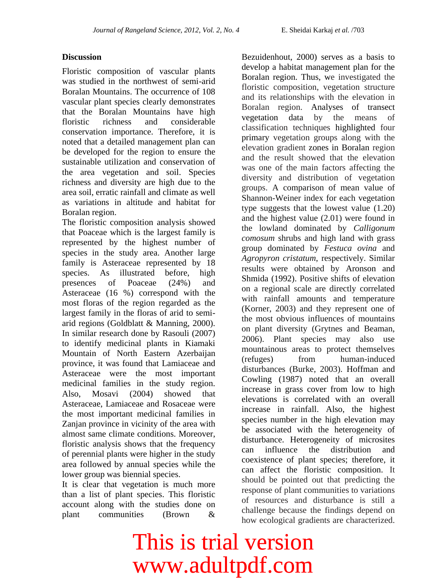### **Discussion**

Floristic composition of vascular plants was studied in the northwest of semi-arid Boralan Mountains. The occurrence of 108 vascular plant species clearly demonstrates that the Boralan Mountains have high floristic richness and considerable conservation importance. Therefore, it is noted that a detailed management plan can be developed for the region to ensure the sustainable utilization and conservation of the area vegetation and soil. Species richness and diversity are high due to the area soil, erratic rainfall and climate as well as variations in altitude and habitat for Boralan region.

The floristic composition analysis showed that Poaceae which is the largest family is represented by the highest number of species in the study area. Another large family is Asteraceae represented by 18 species. As illustrated before, high presences of Poaceae (24%) and Asteraceae (16 %) correspond with the most floras of the region regarded as the largest family in the floras of arid to semiarid regions (Goldblatt & Manning, 2000). In similar research done by Rasouli (2007) to identify medicinal plants in Kiamaki Mountain of North Eastern Azerbaijan province, it was found that Lamiaceae and Asteraceae were the most important medicinal families in the study region. Also, Mosavi (2004) showed that Asteraceae, Lamiaceae and Rosaceae were the most important medicinal families in Zanjan province in vicinity of the area with almost same climate conditions. Moreover, floristic analysis shows that the frequency of perennial plants were higher in the study area followed by annual species while the lower group was biennial species.

It is clear that vegetation is much more than a list of plant species. This floristic account along with the studies done on plant communities (Brown &

Bezuidenhout, 2000) serves as a basis to develop a habitat management plan for the Boralan region. Thus, we investigated the floristic composition, vegetation structure and its relationships with the elevation in Boralan region. Analyses of transect vegetation data by the means of classification techniques highlighted four primary vegetation groups along with the elevation gradient zones in Boralan region and the result showed that the elevation was one of the main factors affecting the diversity and distribution of vegetation groups. A comparison of mean value of Shannon-Weiner index for each vegetation type suggests that the lowest value (1.20) and the highest value (2.01) were found in the lowland dominated by *Calligonum comosum* shrubs and high land with grass group dominated by *Festuca ovina* and *Agropyron cristatum*, respectively. Similar results were obtained by Aronson and Shmida (1992). Positive shifts of elevation on a regional scale are directly correlated with rainfall amounts and temperature (Korner, 2003) and they represent one of the most obvious influences of mountains on plant diversity (Grytnes and Beaman, 2006). Plant species may also use mountainous areas to protect themselves (refuges) from human-induced disturbances (Burke, 2003). Hoffman and Cowling (1987) noted that an overall increase in grass cover from low to high elevations is correlated with an overall increase in rainfall. Also, the highest species number in the high elevation may be associated with the heterogeneity of disturbance. Heterogeneity of microsites can influence the distribution and coexistence of plant species; therefore, it can affect the floristic composition. It should be pointed out that predicting the response of plant communities to variations of resources and disturbance is still a challenge because the findings depend on how ecological gradients are characterized.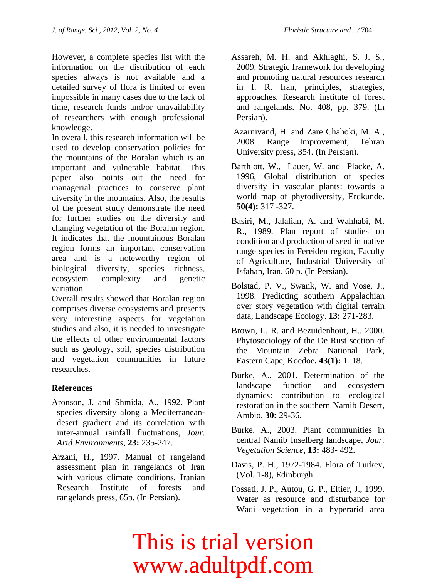However, a complete species list with the information on the distribution of each species always is not available and a detailed survey of flora is limited or even impossible in many cases due to the lack of time, research funds and/or unavailability of researchers with enough professional knowledge.

In overall, this research information will be used to develop conservation policies for the mountains of the Boralan which is an important and vulnerable habitat. This paper also points out the need for managerial practices to conserve plant diversity in the mountains. Also, the results of the present study demonstrate the need for further studies on the diversity and changing vegetation of the Boralan region. It indicates that the mountainous Boralan region forms an important conservation area and is a noteworthy region of biological diversity, species richness, ecosystem complexity and genetic variation.

Overall results showed that Boralan region comprises diverse ecosystems and presents very interesting aspects for vegetation studies and also, it is needed to investigate the effects of other environmental factors such as geology, soil, species distribution and vegetation communities in future researches.

### **References**

- Aronson, J. and Shmida, A., 1992. Plant species diversity along a Mediterraneandesert gradient and its correlation with inter-annual rainfall fluctuations, *Jour. Arid Environments,* **23:** 235-247.
- Arzani, H., 1997. Manual of rangeland assessment plan in rangelands of Iran with various climate conditions. Iranian Research Institute of forests and rangelands press, 65p. (In Persian).
- Assareh, M. H. and Akhlaghi, S. J. S., 2009. Strategic framework for developing and promoting natural resources research in I. R. Iran, principles, strategies, approaches, Research institute of forest and rangelands. No. 408, pp. 379. (In Persian).
- Azarnivand, H. and Zare Chahoki, M. A., 2008. Range Improvement, Tehran University press, 354. (In Persian).
- [Barthlott,](http://www.erdkunde.uni-bonn.de/@@results?sort_on:str=getDOI&sort_order:str=desc&getErdkundeAuthors:list=Wilhelm%20Barthlott) W., [Lauer,](http://www.erdkunde.uni-bonn.de/@@results?sort_on:str=getDOI&sort_order:str=desc&getErdkundeAuthors:list=Wilhelm%20Lauer) W. and [Placke,](http://www.erdkunde.uni-bonn.de/@@results?sort_on:str=getDOI&sort_order:str=desc&getErdkundeAuthors:list=Anja%20Placke) A. 1996, Global distribution of species diversity in vascular plants: towards a world map of phytodiversity, Erdkunde. **50(4):** 317 -327.
- Basiri, M., Jalalian, A. and Wahhabi, M. R., 1989. Plan report of studies on condition and production of seed in native range species in Fereiden region, Faculty of Agriculture, Industrial University of Isfahan, Iran. 60 p. (In Persian).
- Bolstad, P. V., Swank, W. and Vose, J., 1998. Predicting southern Appalachian over story vegetation with digital terrain data, Landscape Ecology. **13:** 271-283.
- Brown, L. R. and Bezuidenhout, H., 2000. Phytosociology of the De Rust section of the Mountain Zebra National Park, Eastern Cape, Koedoe**. 43(1):** 1–18.
- Burke, A., 2001. Determination of the landscape function and ecosystem dynamics: contribution to ecological restoration in the southern Namib Desert, Ambio. **30:** 29-36.
- Burke, A., 2003. Plant communities in central Namib Inselberg landscape, *Jour. Vegetation Science*, **13:** 483- 492.
- Davis, P. H., 1972-1984. Flora of Turkey, (Vol. 1-8), Edinburgh.
- Fossati, J. P., Autou, G. P., Eltier, J., 1999. Water as resource and disturbance for Wadi vegetation in a hyperarid area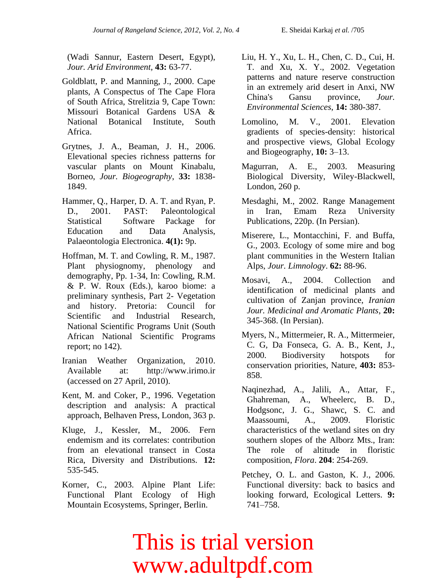(Wadi Sannur, Eastern Desert, Egypt), *Jour. Arid Environment,* **43:** 63-77.

- Goldblatt, P. and Manning, J., 2000. Cape plants, A Conspectus of The Cape Flora of South Africa, Strelitzia 9, Cape Town: Missouri Botanical Gardens USA & National Botanical Institute, South Africa.
- Grytnes, J. A., Beaman, J. H., 2006. Elevational species richness patterns for vascular plants on Mount Kinabalu, Borneo, *Jour. Biogeography*, **33:** 1838- 1849.
- Hammer, Q., Harper, D. A. T. and Ryan, P. D., 2001. PAST: Paleontological Statistical Software Package for Education and Data Analysis, Palaeontologia Electronica. **4(1):** 9p.
- Hoffman, M. T. and Cowling, R. M., 1987. Plant physiognomy, phenology and demography, Pp. 1-34, In: Cowling, R.M. & P. W. Roux (Eds.), karoo biome: a preliminary synthesis, Part 2- Vegetation and history. Pretoria: Council for Scientific and Industrial Research, National Scientific Programs Unit (South African National Scientific Programs report; no 142).
- Iranian Weather Organization, 2010. Available at: [http://www.irimo.ir](http://www.irimo.ir/) (accessed on 27 April, 2010).
- Kent, M. and Coker, P., 1996. Vegetation description and analysis: A practical approach, Belhaven Press, London, 363 p.
- Kluge, J., Kessler, M., 2006. Fern endemism and its correlates: contribution from an elevational transect in Costa Rica, Diversity and Distributions. **12:** 535-545.
- Korner, C., 2003. Alpine Plant Life: Functional Plant Ecology of High Mountain Ecosystems, Springer, Berlin.

Liu, H. Y., Xu, L. H., Chen, C. D., Cui, H. T. and Xu, X. Y., 2002. Vegetation patterns and nature reserve construction in an extremely arid desert in Anxi, NW China's Gansu province, *Jour. Environmental Sciences*, **14:** 380-387.

- Lomolino, M. V., 2001. Elevation gradients of species-density: historical and prospective views, Global Ecology and Biogeography, **10:** 3–13.
- Magurran, A. E., 2003. Measuring Biological Diversity, Wiley-Blackwell, London, 260 p.
- Mesdaghi, M., 2002. Range Management in Iran, Emam Reza University Publications, 220p. (In Persian).
- Miserere, L., Montacchini, F. and Buffa, G., 2003. Ecology of some mire and bog plant communities in the Western Italian Alps, *Jour. Limnology*. **62:** 88-96.
- Mosavi, A., 2004. Collection and identification of medicinal plants and cultivation of Zanjan province, *Iranian Jour. Medicinal and Aromatic Plants*, **20:**  345-368. (In Persian).
- Myers, N., Mittermeier, R. A., Mittermeier, C. G, Da Fonseca, G. A. B., Kent, J., 2000. Biodiversity hotspots for conservation priorities, Nature, **403:** 853- 858.
- Naqinezhad, A., Jalili, A., Attar, F., Ghahreman, A., Wheelerc, B. D., Hodgsonc, J. G., Shawc, S. C. and Maassoumi, A., 2009. Floristic characteristics of the wetland sites on dry southern slopes of the Alborz Mts., Iran: The role of altitude in floristic composition, *Flora*. **204**: 254-269.
- Petchey, O. L. and Gaston, K. J., 2006. Functional diversity: back to basics and looking forward, Ecological Letters. **9:** 741–758.